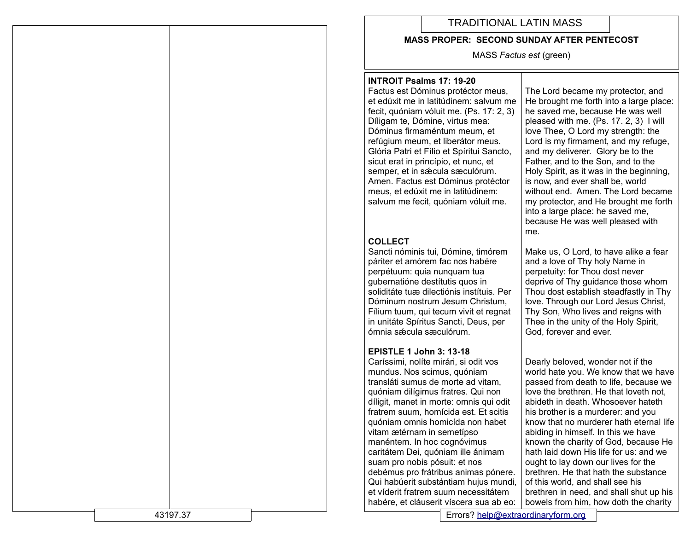# TRADITIONAL LATIN MASS

#### **MASS PROPER: SECOND SUNDAY AFTER PENTECOST**

MASS *Factus est* (green)

#### **INTROIT Psalms 17: 19-20**

Factus est Dóminus protéctor meus, et edúxit me in latitúdinem: salvum me fecit, quóniam vóluit me. (Ps. 17: 2, 3) Díligam te, Dómine, virtus mea: Dóminus firmaméntum meum, et refúgium meum, et liberátor meus. Glória Patri et Fílio et Spíritui Sancto, sicut erat in princípio, et nunc, et semper, et in sæcula sæculórum. Amen. Factus est Dóminus protéctor meus, et edúxit me in latitúdinem: salvum me fecit, quóniam vóluit me.

## **COLLECT**

Sancti nóminis tui, Dómine, timórem páriter et amórem fac nos habére perpétuum: quia nunquam tua gubernatióne destítutis quos in soliditáte tuæ dilectiónis instítuis. Per Dóminum nostrum Jesum Christum, Fílium tuum, qui tecum vivit et regnat in unitáte Spíritus Sancti, Deus, per ómnia sǽcula sæculórum.

### **EPISTLE 1 John 3: 13-18**

Caríssimi, nolíte mirári, si odit vos mundus. Nos scimus, quóniam transláti sumus de morte ad vitam, quóniam dilígimus fratres. Qui non díligit, manet in morte: omnis qui odit fratrem suum, homícida est. Et scitis quóniam omnis homicída non habet vitam ætérnam in semetípso manéntem. In hoc cognóvimus caritátem Dei, quóniam ille ánimam suam pro nobis pósuit: et nos debémus pro frátribus animas pónere. Qui habúerit substántiam hujus mundi, et víderit fratrem suum necessitátem habére, et cláuserit víscera sua ab eo:

The Lord became my protector, and He brought me forth into a large place: he saved me, because He was well pleased with me. (Ps. 17. 2, 3) I will love Thee, O Lord my strength: the Lord is my firmament, and my refuge, and my deliverer. Glory be to the Father, and to the Son, and to the Holy Spirit, as it was in the beginning, is now, and ever shall be, world without end. Amen. The Lord became my protector, and He brought me forth into a large place: he saved me, because He was well pleased with me.

Make us, O Lord, to have alike a fear and a love of Thy holy Name in perpetuity: for Thou dost never deprive of Thy guidance those whom Thou dost establish steadfastly in Thy love. Through our Lord Jesus Christ, Thy Son, Who lives and reigns with Thee in the unity of the Holy Spirit, God, forever and ever.

Dearly beloved, wonder not if the world hate you. We know that we have passed from death to life, because we love the brethren. He that loveth not, abideth in death. Whosoever hateth his brother is a murderer: and you know that no murderer hath eternal life abiding in himself. In this we have known the charity of God, because He hath laid down His life for us: and we ought to lay down our lives for the brethren. He that hath the substance of this world, and shall see his brethren in need, and shall shut up his bowels from him, how doth the charity